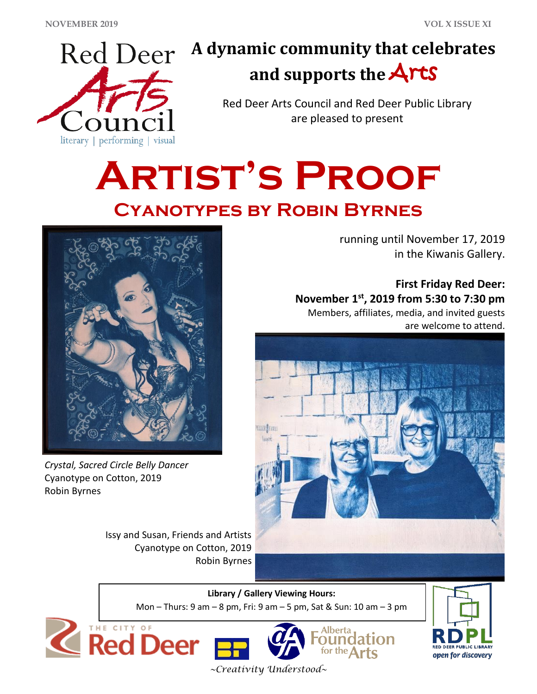

## **A dynamic community that celebrates and supports the** Arts

Red Deer Arts Council and Red Deer Public Library are pleased to present

# **Artist's Proof Cyanotypes by Robin Byrnes**



*Crystal, Sacred Circle Belly Dancer* Cyanotype on Cotton, 2019 Robin Byrnes

running until November 17, 2019 in the Kiwanis Gallery.

**First Friday Red Deer: November 1st , 2019 from 5:30 to 7:30 pm** Members, affiliates, media, and invited guests are welcome to attend.



ION

**Library / Gallery Viewing Hours:** Robin Byrnes

Mon – Thurs: 9 am – 8 pm, Fri: 9 am – 5 pm, Sat & Sun: 10 am – 3 pm





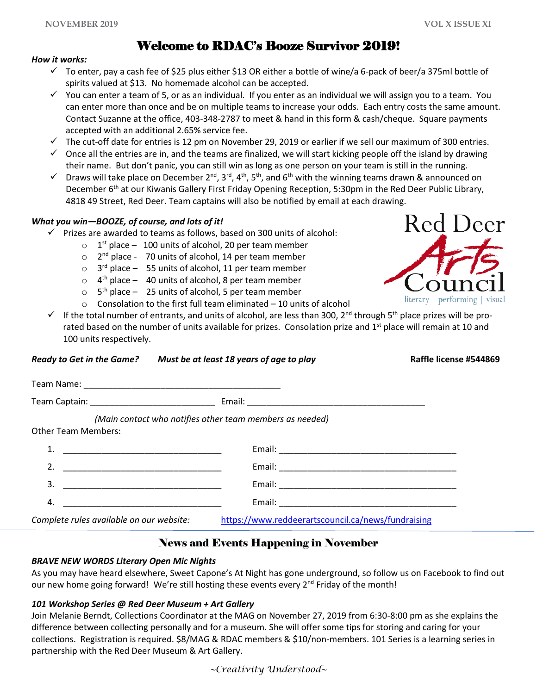Red Deer

literary | performing | visual

#### Welcome to RDAC's Booze Survivor 2019!

#### *How it works:*

- ✓ To enter, pay a cash fee of \$25 plus either \$13 OR either a bottle of wine/a 6-pack of beer/a 375ml bottle of spirits valued at \$13. No homemade alcohol can be accepted.
- $\checkmark$  You can enter a team of 5, or as an individual. If you enter as an individual we will assign you to a team. You can enter more than once and be on multiple teams to increase your odds. Each entry costs the same amount. Contact Suzanne at the office, 403-348-2787 to meet & hand in this form & cash/cheque. Square payments accepted with an additional 2.65% service fee.
- ✓ The cut-off date for entries is 12 pm on November 29, 2019 or earlier if we sell our maximum of 300 entries.
- $\checkmark$  Once all the entries are in, and the teams are finalized, we will start kicking people off the island by drawing their name. But don't panic, you can still win as long as one person on your team is still in the running.
- $\checkmark$  Draws will take place on December 2<sup>nd</sup>, 3<sup>rd</sup>, 4<sup>th</sup>, 5<sup>th</sup>, and 6<sup>th</sup> with the winning teams drawn & announced on December 6<sup>th</sup> at our Kiwanis Gallery First Friday Opening Reception, 5:30pm in the Red Deer Public Library, 4818 49 Street, Red Deer. Team captains will also be notified by email at each drawing.

#### *What you win—BOOZE, of course, and lots of it!*

- $\checkmark$  Prizes are awarded to teams as follows, based on 300 units of alcohol:
	- $\circ$  1<sup>st</sup> place 100 units of alcohol, 20 per team member
	- o 2<sup>nd</sup> place 70 units of alcohol, 14 per team member
	- $\circ$  3<sup>rd</sup> place 55 units of alcohol, 11 per team member
	- $\circ$  4<sup>th</sup> place 40 units of alcohol, 8 per team member
	- $\circ$  5<sup>th</sup> place 25 units of alcohol, 5 per team member
	- o Consolation to the first full team eliminated 10 units of alcohol
- $\checkmark$  If the total number of entrants, and units of alcohol, are less than 300, 2<sup>nd</sup> through 5<sup>th</sup> place prizes will be prorated based on the number of units available for prizes. Consolation prize and 1<sup>st</sup> place will remain at 10 and 100 units respectively.

|                                                         | Ready to Get in the Game? Must be at least 18 years of age to play | Raffle license #544869 |
|---------------------------------------------------------|--------------------------------------------------------------------|------------------------|
|                                                         |                                                                    |                        |
|                                                         |                                                                    |                        |
| <b>Other Team Members:</b>                              | (Main contact who notifies other team members as needed)           |                        |
|                                                         |                                                                    |                        |
|                                                         |                                                                    |                        |
| 3.                                                      |                                                                    |                        |
| 4.<br><u> 1989 - Johann Barn, mars et al. (b. 1989)</u> |                                                                    |                        |
| Complete rules available on our website:                | https://www.reddeerartscouncil.ca/news/fundraising                 |                        |

#### News and Events Happening in November

#### *BRAVE NEW WORDS Literary Open Mic Nights*

As you may have heard elsewhere, Sweet Capone's At Night has gone underground, so follow us on Facebook to find out our new home going forward! We're still hosting these events every  $2^{nd}$  Friday of the month!

#### *101 Workshop Series @ Red Deer Museum + Art Gallery*

Join Melanie Berndt, Collections Coordinator at the MAG on November 27, 2019 from 6:30-8:00 pm as she explains the difference between collecting personally and for a museum. She will offer some tips for storing and caring for your collections. Registration is required. \$8/MAG & RDAC members & \$10/non-members. 101 Series is a learning series in partnership with the Red Deer Museum & Art Gallery.

*~Creativity Understood~*